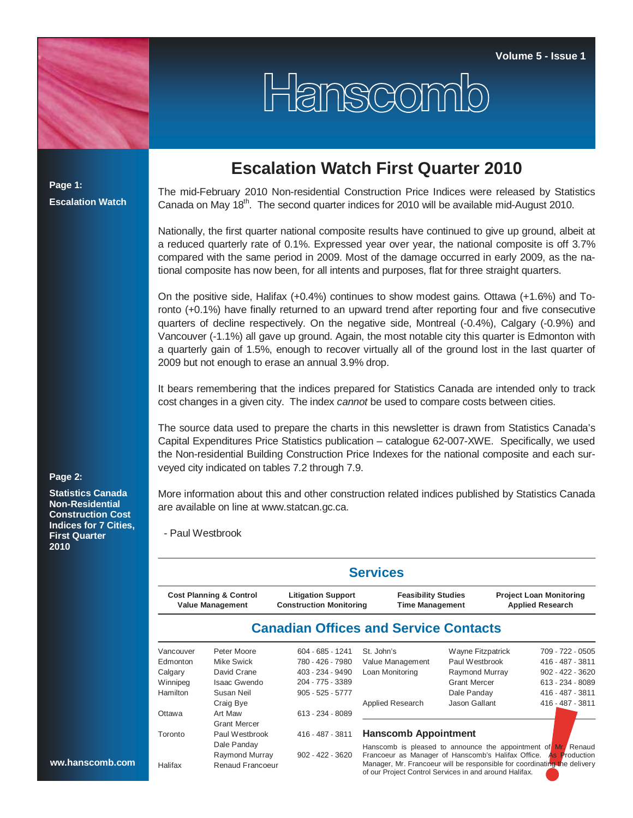

## **Escalation Watch First Quarter 2010**

Hanscomb

**Page 1: Escalation Watch**

The mid-February 2010 Non-residential Construction Price Indices were released by Statistics Canada on May 18<sup>th</sup>. The second quarter indices for 2010 will be available mid-August 2010.

Nationally, the first quarter national composite results have continued to give up ground, albeit at a reduced quarterly rate of 0.1%. Expressed year over year, the national composite is off 3.7% compared with the same period in 2009. Most of the damage occurred in early 2009, as the national composite has now been, for all intents and purposes, flat for three straight quarters.

On the positive side, Halifax (+0.4%) continues to show modest gains. Ottawa (+1.6%) and Toronto (+0.1%) have finally returned to an upward trend after reporting four and five consecutive quarters of decline respectively. On the negative side, Montreal (-0.4%), Calgary (-0.9%) and Vancouver (-1.1%) all gave up ground. Again, the most notable city this quarter is Edmonton with a quarterly gain of 1.5%, enough to recover virtually all of the ground lost in the last quarter of 2009 but not enough to erase an annual 3.9% drop.

It bears remembering that the indices prepared for Statistics Canada are intended only to track cost changes in a given city. The index *cannot* be used to compare costs between cities.

The source data used to prepare the charts in this newsletter is drawn from Statistics Canada's Capital Expenditures Price Statistics publication – catalogue 62-007-XWE. Specifically, we used the Non-residential Building Construction Price Indexes for the national composite and each surveyed city indicated on tables 7.2 through 7.9.

More information about this and other construction related indices published by Statistics Canada are available on line at www.statcan.gc.ca.

- Paul Westbrook

|                                                               |                     |                                                             | <b>Services</b>                                                                                                                    |                     |                                                           |                      |
|---------------------------------------------------------------|---------------------|-------------------------------------------------------------|------------------------------------------------------------------------------------------------------------------------------------|---------------------|-----------------------------------------------------------|----------------------|
| <b>Cost Planning &amp; Control</b><br><b>Value Management</b> |                     | <b>Litigation Support</b><br><b>Construction Monitoring</b> | <b>Feasibility Studies</b><br><b>Time Management</b>                                                                               |                     | <b>Project Loan Monitoring</b><br><b>Applied Research</b> |                      |
|                                                               |                     |                                                             | <b>Canadian Offices and Service Contacts</b>                                                                                       |                     |                                                           |                      |
| Vancouver                                                     | Peter Moore         | $604 - 685 - 1241$                                          | St. John's                                                                                                                         | Wayne Fitzpatrick   |                                                           | 709 - 722 - 0505     |
| Edmonton                                                      | Mike Swick          | 780 - 426 - 7980                                            | Value Management                                                                                                                   | Paul Westbrook      |                                                           | 416 - 487 - 3811     |
| Calgary                                                       | David Crane         | 403 - 234 - 9490                                            | Loan Monitoring                                                                                                                    | Raymond Murray      |                                                           | $902 - 422 - 3620$   |
| Winnipeg                                                      | <b>Isaac Gwendo</b> | 204 - 775 - 3389                                            |                                                                                                                                    | <b>Grant Mercer</b> |                                                           | 613 - 234 - 8089     |
| Hamilton                                                      | Susan Neil          | $905 - 525 - 5777$                                          |                                                                                                                                    | Dale Panday         |                                                           | 416 - 487 - 3811     |
|                                                               | Craig Bye           |                                                             | Applied Research                                                                                                                   | Jason Gallant       |                                                           | 416 - 487 - 3811     |
| Ottawa                                                        | Art Maw             | 613 - 234 - 8089                                            |                                                                                                                                    |                     |                                                           |                      |
|                                                               | <b>Grant Mercer</b> |                                                             |                                                                                                                                    |                     |                                                           |                      |
| Toronto                                                       | Paul Westbrook      | 416 - 487 - 3811                                            | <b>Hanscomb Appointment</b>                                                                                                        |                     |                                                           |                      |
|                                                               | Dale Panday         |                                                             | Hanscomb is pleased to announce the appointment of Mr. Renaud                                                                      |                     |                                                           |                      |
|                                                               | Raymond Murray      | $902 - 422 - 3620$                                          | Francoeur as Manager of Hanscomb's Halifax Office.                                                                                 |                     |                                                           | <b>As Production</b> |
| Halifax                                                       | Renaud Francoeur    |                                                             | Manager, Mr. Francoeur will be responsible for coordinating the delivery<br>of our Project Control Services in and around Halifax. |                     |                                                           |                      |

## **Page 2:**

**Statistics Canada Non-Residential Construction Cost Indices for 7 Cities, First Quarter 2010**